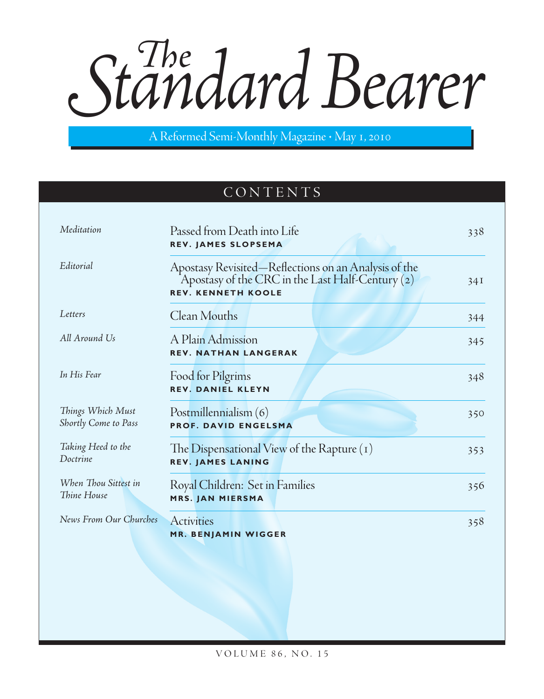Standard Bearer

A Reformed Semi-Monthly Magazine · May 1, 2010

# CONTENTS

| Passed from Death into Life<br>REV. JAMES SLOPSEMA                                                                                    | 338 |
|---------------------------------------------------------------------------------------------------------------------------------------|-----|
| Apostasy Revisited—Reflections on an Analysis of the<br>Apostasy of the CRC in the Last Half-Century (2)<br><b>REV. KENNETH KOOLE</b> | 34I |
| Clean Mouths                                                                                                                          | 344 |
| A Plain Admission<br><b>REV. NATHAN LANGERAK</b>                                                                                      | 345 |
| Food for Pilgrims<br><b>REV. DANIEL KLEYN</b>                                                                                         | 348 |
| Postmillennialism (6)<br><b>PROF. DAVID ENGELSMA</b>                                                                                  | 350 |
| The Dispensational View of the Rapture $(1)$<br><b>REV. JAMES LANING</b>                                                              | 353 |
| Royal Children: Set in Families<br>MRS. JAN MIERSMA                                                                                   | 356 |
| <b>Activities</b><br><b>MR. BENJAMIN WIGGER</b>                                                                                       | 358 |
|                                                                                                                                       |     |

volu m e 86, no. 15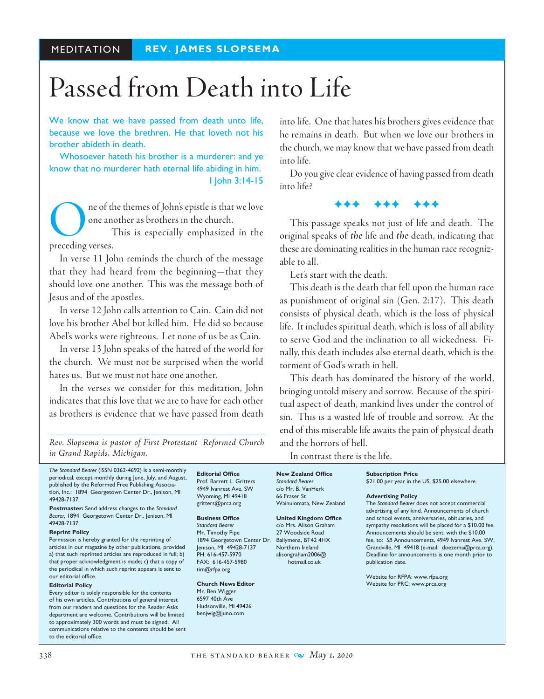# Passed from Death into Life

We know that we have passed from death unto life, because we love the brethren. He that loveth not his brother abideth in death.

Whosoever hateth his brother is a murderer: and ye know that no murderer hath eternal life abiding in him. I John 3:14-15

ne of the themes of John's epistle is that we love one another as brothers in the church.

This is especially emphasized in the preceding verses.

In verse 11 John reminds the church of the message that they had heard from the beginning—that they should love one another. This was the message both of Jesus and of the apostles.

In verse 12 John calls attention to Cain. Cain did not love his brother Abel but killed him. He did so because Abel's works were righteous. Let none of us be as Cain.

In verse 13 John speaks of the hatred of the world for the church. We must not be surprised when the world hates us. But we must not hate one another.

In the verses we consider for this meditation, John indicates that this love that we are to have for each other as brothers is evidence that we have passed from death

*Rev. Slopsema is pastor of First Protestant Reformed Church in Grand Rapids, Michigan.*

*The Standard Bearer* (ISSN 0362-4692) is a semi-monthly periodical, except monthly during June, July, and August, published by the Reformed Free Publishing Association, Inc.: 1894 Georgetown Center Dr., Jenison, MI 49428-7137.

**Postmaster:** Send address changes to the *Standard Bearer,* 1894 Georgetown Center Dr., Jenison, MI 49428-7137.

#### **Reprint Policy**

Permission is hereby granted for the reprinting of articles in our magazine by other publications, provided a) that such reprinted articles are reproduced in full; b) that proper acknowledgment is made; c) that a copy of the periodical in which such reprint appears is sent to our editorial office.

#### **Editorial Policy**

Every editor is solely responsible for the contents of his own articles. Contributions of general interest from our readers and questions for the Reader Asks department are welcome. Contributions will be limited to approximately 300 words and must be signed. All communications relative to the contents should be sent to the editorial office.

**Editorial Office** Prof. Barrett L. Gritters 4949 Ivanrest Ave. SW Wyoming, MI 49418 gritters@prca.org

#### **Business Office**

*Standard Bearer* Mr. Timothy Pipe 1894 Georgetown Center Dr. Jenison, MI 49428-7137 PH: 616-457-5970 FAX: 616-457-5980 tim@rfpa.org

**Church News Editor** Mr. Ben Wigger 6597 40th Ave Hudsonville, MI 49426 benjwig@juno.com

into life. One that hates his brothers gives evidence that he remains in death. But when we love our brothers in the church, we may know that we have passed from death into life.

Do you give clear evidence of having passed from death into life?

FFF FFF FFF

This passage speaks not just of life and death. The original speaks of *the* life and *the* death, indicating that these are dominating realities in the human race recognizable to all.

Let's start with the death.

This death is the death that fell upon the human race as punishment of original sin (Gen. 2:17). This death consists of physical death, which is the loss of physical life. It includes spiritual death, which is loss of all ability to serve God and the inclination to all wickedness. Finally, this death includes also eternal death, which is the torment of God's wrath in hell.

This death has dominated the history of the world, bringing untold misery and sorrow. Because of the spiritual aspect of death, mankind lives under the control of sin. This is a wasted life of trouble and sorrow. At the end of this miserable life awaits the pain of physical death and the horrors of hell.

**Subscription Price**

In contrast there is the life.

**New Zealand Office** *Standard Bearer* c/o Mr. B. VanHerk 66 Fraser St Wainuiomata, New Zealand

#### **United Kingdom Office**

c/o Mrs. Alison Graham 27 Woodside Road Ballymena, BT42 4HX Northern Ireland alisongraham2006@ hotmail.co.uk

\$21.00 per year in the US, \$25.00 elsewhere **Advertising Policy** 

The *Standard Bearer* does not accept commercial advertising of any kind. Announcements of church and school events, anniversaries, obituaries, and sympathy resolutions will be placed for a \$10.00 fee. Announcements should be sent, with the \$10.00 fee, to: *SB* Announcements, 4949 Ivanrest Ave. SW, Grandville, MI 49418 (e-mail: doezema@prca.org). Deadline for announcements is one month prior to publication date.

Website for RFPA: www.rfpa.org Website for PRC: www.prca.org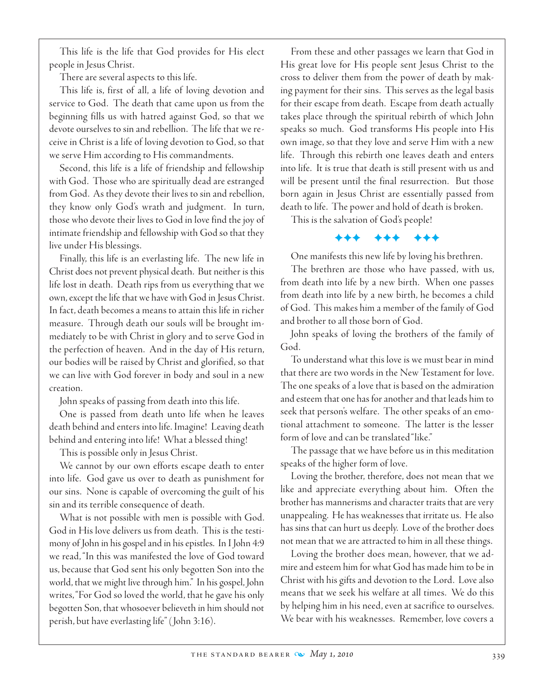This life is the life that God provides for His elect people in Jesus Christ.

There are several aspects to this life.

This life is, first of all, a life of loving devotion and service to God. The death that came upon us from the beginning fills us with hatred against God, so that we devote ourselves to sin and rebellion. The life that we receive in Christ is a life of loving devotion to God, so that we serve Him according to His commandments.

Second, this life is a life of friendship and fellowship with God. Those who are spiritually dead are estranged from God. As they devote their lives to sin and rebellion, they know only God's wrath and judgment. In turn, those who devote their lives to God in love find the joy of intimate friendship and fellowship with God so that they live under His blessings.

Finally, this life is an everlasting life. The new life in Christ does not prevent physical death. But neither is this life lost in death. Death rips from us everything that we own, except the life that we have with God in Jesus Christ. In fact, death becomes a means to attain this life in richer measure. Through death our souls will be brought immediately to be with Christ in glory and to serve God in the perfection of heaven. And in the day of His return, our bodies will be raised by Christ and glorified, so that we can live with God forever in body and soul in a new creation.

John speaks of passing from death into this life.

One is passed from death unto life when he leaves death behind and enters into life. Imagine! Leaving death behind and entering into life! What a blessed thing!

This is possible only in Jesus Christ.

We cannot by our own efforts escape death to enter into life. God gave us over to death as punishment for our sins. None is capable of overcoming the guilt of his sin and its terrible consequence of death.

What is not possible with men is possible with God. God in His love delivers us from death. This is the testimony of John in his gospel and in his epistles. In I John 4:9 we read, "In this was manifested the love of God toward us, because that God sent his only begotten Son into the world, that we might live through him." In his gospel, John writes, "For God so loved the world, that he gave his only begotten Son, that whosoever believeth in him should not perish, but have everlasting life" ( John 3:16).

From these and other passages we learn that God in His great love for His people sent Jesus Christ to the cross to deliver them from the power of death by making payment for their sins. This serves as the legal basis for their escape from death. Escape from death actually takes place through the spiritual rebirth of which John speaks so much. God transforms His people into His own image, so that they love and serve Him with a new life. Through this rebirth one leaves death and enters into life. It is true that death is still present with us and will be present until the final resurrection. But those born again in Jesus Christ are essentially passed from death to life. The power and hold of death is broken.

This is the salvation of God's people!

FFF FFF FFF

One manifests this new life by loving his brethren.

The brethren are those who have passed, with us, from death into life by a new birth. When one passes from death into life by a new birth, he becomes a child of God. This makes him a member of the family of God and brother to all those born of God.

John speaks of loving the brothers of the family of God.

To understand what this love is we must bear in mind that there are two words in the New Testament for love. The one speaks of a love that is based on the admiration and esteem that one has for another and that leads him to seek that person's welfare. The other speaks of an emotional attachment to someone. The latter is the lesser form of love and can be translated "like."

The passage that we have before us in this meditation speaks of the higher form of love.

 Loving the brother, therefore, does not mean that we like and appreciate everything about him. Often the brother has mannerisms and character traits that are very unappealing. He has weaknesses that irritate us. He also has sins that can hurt us deeply. Love of the brother does not mean that we are attracted to him in all these things.

 Loving the brother does mean, however, that we admire and esteem him for what God has made him to be in Christ with his gifts and devotion to the Lord. Love also means that we seek his welfare at all times. We do this by helping him in his need, even at sacrifice to ourselves. We bear with his weaknesses. Remember, love covers a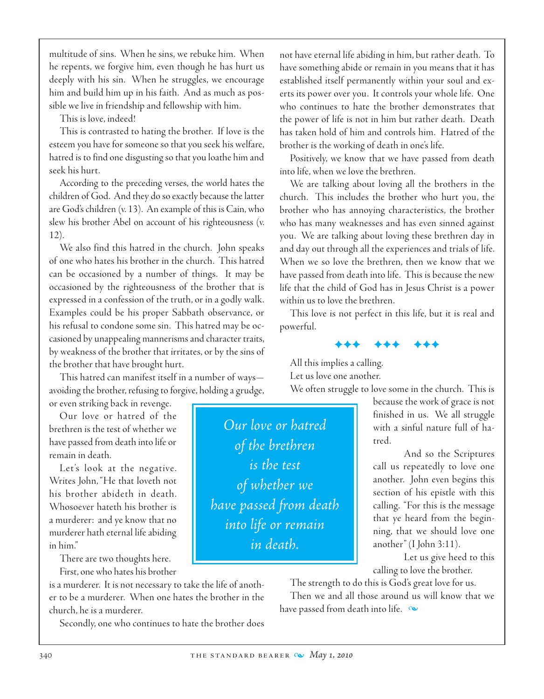multitude of sins. When he sins, we rebuke him. When he repents, we forgive him, even though he has hurt us deeply with his sin. When he struggles, we encourage him and build him up in his faith. And as much as possible we live in friendship and fellowship with him.

This is love, indeed!

This is contrasted to hating the brother. If love is the esteem you have for someone so that you seek his welfare, hatred is to find one disgusting so that you loathe him and seek his hurt.

According to the preceding verses, the world hates the children of God. And they do so exactly because the latter are God's children (v. 13). An example of this is Cain, who slew his brother Abel on account of his righteousness (v. 12).

We also find this hatred in the church. John speaks of one who hates his brother in the church. This hatred can be occasioned by a number of things. It may be occasioned by the righteousness of the brother that is expressed in a confession of the truth, or in a godly walk. Examples could be his proper Sabbath observance, or his refusal to condone some sin. This hatred may be occasioned by unappealing mannerisms and character traits, by weakness of the brother that irritates, or by the sins of the brother that have brought hurt.

This hatred can manifest itself in a number of ways avoiding the brother, refusing to forgive, holding a grudge,

or even striking back in revenge. Our love or hatred of the brethren is the test of whether we

have passed from death into life or remain in death.

Let's look at the negative. Writes John, "He that loveth not his brother abideth in death. Whosoever hateth his brother is a murderer: and ye know that no murderer hath eternal life abiding in him."

There are two thoughts here.

First, one who hates his brother is a murderer. It is not necessary to take the life of another to be a murderer. When one hates the brother in the church, he is a murderer.

Secondly, one who continues to hate the brother does

not have eternal life abiding in him, but rather death. To have something abide or remain in you means that it has established itself permanently within your soul and exerts its power over you. It controls your whole life. One who continues to hate the brother demonstrates that the power of life is not in him but rather death. Death has taken hold of him and controls him. Hatred of the brother is the working of death in one's life.

Positively, we know that we have passed from death into life, when we love the brethren.

We are talking about loving all the brothers in the church. This includes the brother who hurt you, the brother who has annoying characteristics, the brother who has many weaknesses and has even sinned against you. We are talking about loving these brethren day in and day out through all the experiences and trials of life. When we so love the brethren, then we know that we have passed from death into life. This is because the new life that the child of God has in Jesus Christ is a power within us to love the brethren.

This love is not perfect in this life, but it is real and powerful.

FFF FFF FFF

All this implies a calling. Let us love one another.

We often struggle to love some in the church. This is

because the work of grace is not finished in us. We all struggle with a sinful nature full of hatred.

And so the Scriptures call us repeatedly to love one another. John even begins this section of his epistle with this calling. "For this is the message that ye heard from the beginning, that we should love one another" (I John 3:11).

Let us give heed to this calling to love the brother.

The strength to do this is God's great love for us. Then we and all those around us will know that we have passed from death into life.  $\infty$ 

340 **THE STANDARD BEARER**  $\omega$ *May 1, 2010* 

*Our love or hatred*

*of the brethren*

*is the test*

*of whether we*

*have passed from death* 

*into life or remain*

*in death.*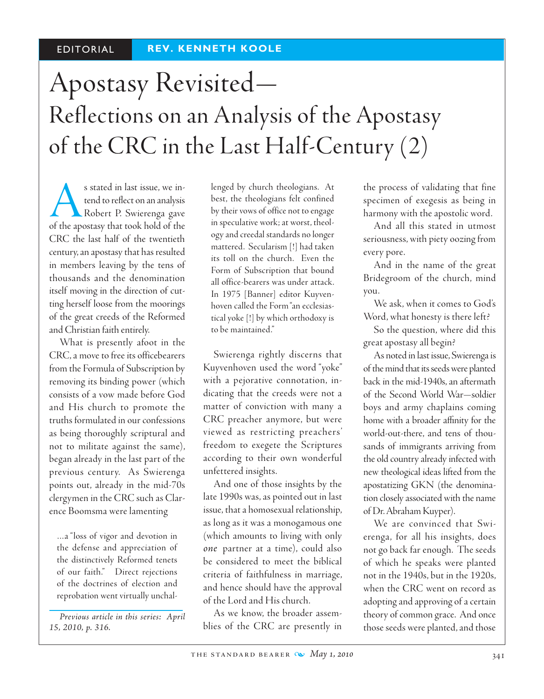# Apostasy Revisited— Reflections on an Analysis of the Apostasy of the CRC in the Last Half-Century (2)

s stated in last issue, we intend to reflect on an analysis<br>Robert P. Swierenga gave<br>of the apostasy that took hold of the tend to reflect on an analysis Robert P. Swierenga gave CRC the last half of the twentieth century, an apostasy that has resulted in members leaving by the tens of thousands and the denomination itself moving in the direction of cutting herself loose from the moorings of the great creeds of the Reformed and Christian faith entirely.

What is presently afoot in the CRC, a move to free its officebearers from the Formula of Subscription by removing its binding power (which consists of a vow made before God and His church to promote the truths formulated in our confessions as being thoroughly scriptural and not to militate against the same), began already in the last part of the previous century. As Swierenga points out, already in the mid-70s clergymen in the CRC such as Clarence Boomsma were lamenting

…a "loss of vigor and devotion in the defense and appreciation of the distinctively Reformed tenets of our faith." Direct rejections of the doctrines of election and reprobation went virtually unchal-

*Previous article in this series: April 15, 2010, p. 316.*

lenged by church theologians. At best, the theologians felt confined by their vows of office not to engage in speculative work; at worst, theology and creedal standards no longer mattered. Secularism [!] had taken its toll on the church. Even the Form of Subscription that bound all office-bearers was under attack. In 1975 [Banner] editor Kuyvenhoven called the Form "an ecclesiastical yoke [!] by which orthodoxy is to be maintained."

Swierenga rightly discerns that Kuyvenhoven used the word "yoke" with a pejorative connotation, indicating that the creeds were not a matter of conviction with many a CRC preacher anymore, but were viewed as restricting preachers' freedom to exegete the Scriptures according to their own wonderful unfettered insights.

And one of those insights by the late 1990s was, as pointed out in last issue, that a homosexual relationship, as long as it was a monogamous one (which amounts to living with only *one* partner at a time), could also be considered to meet the biblical criteria of faithfulness in marriage, and hence should have the approval of the Lord and His church.

As we know, the broader assemblies of the CRC are presently in the process of validating that fine specimen of exegesis as being in harmony with the apostolic word.

And all this stated in utmost seriousness, with piety oozing from every pore.

And in the name of the great Bridegroom of the church, mind you.

We ask, when it comes to God's Word, what honesty is there left?

So the question, where did this great apostasy all begin?

As noted in last issue, Swierenga is of the mind that its seeds were planted back in the mid-1940s, an aftermath of the Second World War—soldier boys and army chaplains coming home with a broader affinity for the world-out-there, and tens of thousands of immigrants arriving from the old country already infected with new theological ideas lifted from the apostatizing GKN (the denomination closely associated with the name of Dr. Abraham Kuyper).

We are convinced that Swierenga, for all his insights, does not go back far enough. The seeds of which he speaks were planted not in the 1940s, but in the 1920s, when the CRC went on record as adopting and approving of a certain theory of common grace. And once those seeds were planted, and those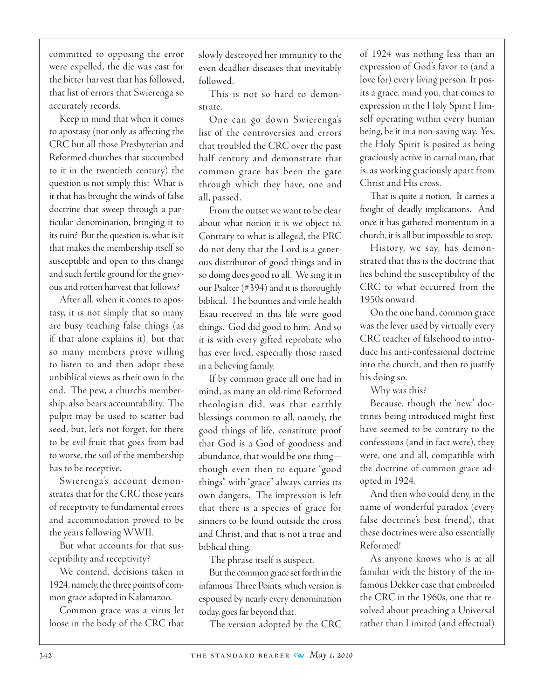committed to opposing the error were expelled, the die was cast for the bitter harvest that has followed, that list of errors that Swierenga so accurately records.

Keep in mind that when it comes to apostasy (not only as affecting the CRC but all those Presbyterian and Reformed churches that succumbed to it in the twentieth century) the question is not simply this: What is it that has brought the winds of false doctrine that sweep through a particular denomination, bringing it to its ruin? But the question is, what is it that makes the membership itself so susceptible and open to this change and such fertile ground for the grievous and rotten harvest that follows?

After all, when it comes to apostasy, it is not simply that so many are busy teaching false things (as if that alone explains it), but that so many members prove willing to listen to and then adopt these unbiblical views as their own in the end. The pew, a church's membership, also bears accountability. The pulpit may be used to scatter bad seed, but, let's not forget, for there to be evil fruit that goes from bad to worse, the soil of the membership has to be receptive.

Swierenga's account demonstrates that for the CRC those years of receptivity to fundamental errors and accommodation proved to be the years following WWII.

But what accounts for that susceptibility and receptivity?

We contend, decisions taken in 1924, namely, the three points of common grace adopted in Kalamazoo.

Common grace was a virus let loose in the body of the CRC that slowly destroyed her immunity to the even deadlier diseases that inevitably followed.

This is not so hard to demonstrate.

One can go down Swierenga's list of the controversies and errors that troubled the CRC over the past half century and demonstrate that common grace has been the gate through which they have, one and all, passed.

From the outset we want to be clear about what notion it is we object to. Contrary to what is alleged, the PRC do not deny that the Lord is a generous distributor of good things and in so doing does good to all. We sing it in our Psalter (#394) and it is thoroughly biblical. The bounties and virile health Esau received in this life were good things. God did good to him. And so it is with every gifted reprobate who has ever lived, especially those raised in a believing family.

If by common grace all one had in mind, as many an old-time Reformed theologian did, was that earthly blessings common to all, namely, the good things of life, constitute proof that God is a God of goodness and abundance, that would be one thing though even then to equate "good things" with "grace" always carries its own dangers. The impression is left that there is a species of grace for sinners to be found outside the cross and Christ, and that is not a true and biblical thing.

The phrase itself is suspect.

But the common grace set forth in the infamous Three Points, which version is espoused by nearly every denomination today, goes far beyond that.

The version adopted by the CRC

of 1924 was nothing less than an expression of God's favor to (and a love for) every living person. It posits a grace, mind you, that comes to expression in the Holy Spirit Himself operating within every human being, be it in a non-saving way. Yes, the Holy Spirit is posited as being graciously active in carnal man, that is, as working graciously apart from Christ and His cross.

That is quite a notion. It carries a freight of deadly implications. And once it has gathered momentum in a church, it is all but impossible to stop.

History, we say, has demonstrated that this is the doctrine that lies behind the susceptibility of the CRC to what occurred from the 1950s onward.

 On the one hand, common grace was the lever used by virtually every CRC teacher of falsehood to introduce his anti-confessional doctrine into the church, and then to justify his doing so.

Why was this?

Because, though the 'new' doctrines being introduced might first have seemed to be contrary to the confessions (and in fact were), they were, one and all, compatible with the doctrine of common grace adopted in 1924.

And then who could deny, in the name of wonderful paradox (every false doctrine's best friend), that these doctrines were also essentially Reformed!

As anyone knows who is at all familiar with the history of the infamous Dekker case that embroiled the CRC in the 1960s, one that revolved about preaching a Universal rather than Limited (and effectual)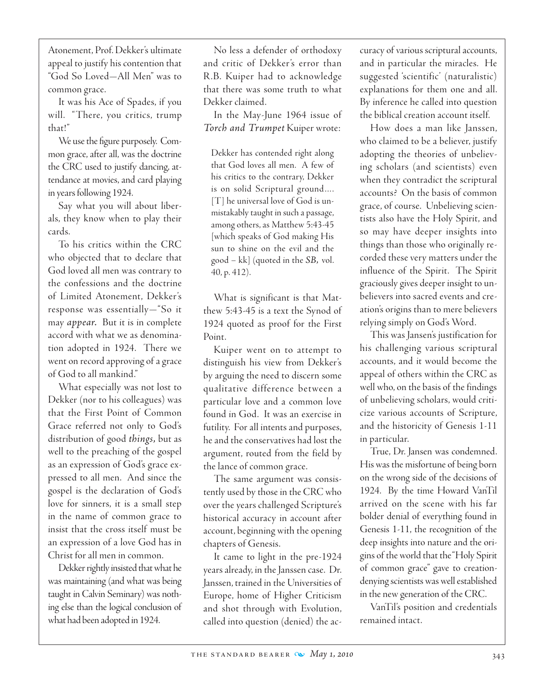Atonement, Prof. Dekker's ultimate appeal to justify his contention that "God So Loved—All Men" was to common grace.

It was his Ace of Spades, if you will. "There, you critics, trump that!"

We use the figure purposely. Common grace, after all, was the doctrine the CRC used to justify dancing, attendance at movies, and card playing in years following 1924.

Say what you will about liberals, they know when to play their cards.

To his critics within the CRC who objected that to declare that God loved all men was contrary to the confessions and the doctrine of Limited Atonement, Dekker's response was essentially—"So it may *appear.* But it is in complete accord with what we as denomination adopted in 1924. There we went on record approving of a grace of God to all mankind."

What especially was not lost to Dekker (nor to his colleagues) was that the First Point of Common Grace referred not only to God's distribution of good *things,* but as well to the preaching of the gospel as an expression of God's grace expressed to all men. And since the gospel is the declaration of God's love for sinners, it is a small step in the name of common grace to insist that the cross itself must be an expression of a love God has in Christ for all men in common.

Dekker rightly insisted that what he was maintaining (and what was being taught in Calvin Seminary) was nothing else than the logical conclusion of what had been adopted in 1924.

 No less a defender of orthodoxy and critic of Dekker's error than R.B. Kuiper had to acknowledge that there was some truth to what Dekker claimed.

In the May-June 1964 issue of *Torch and Trumpet* Kuiper wrote:

Dekker has contended right along that God loves all men. A few of his critics to the contrary, Dekker is on solid Scriptural ground…. [T] he universal love of God is unmistakably taught in such a passage, among others, as Matthew 5:43-45 [which speaks of God making His sun to shine on the evil and the good – kk] (quoted in the *SB,* vol. 40, p. 412).

What is significant is that Matthew 5:43-45 is a text the Synod of 1924 quoted as proof for the First Point.

Kuiper went on to attempt to distinguish his view from Dekker's by arguing the need to discern some qualitative difference between a particular love and a common love found in God. It was an exercise in futility. For all intents and purposes, he and the conservatives had lost the argument, routed from the field by the lance of common grace.

The same argument was consistently used by those in the CRC who over the years challenged Scripture's historical accuracy in account after account, beginning with the opening chapters of Genesis.

It came to light in the pre-1924 years already, in the Janssen case. Dr. Janssen, trained in the Universities of Europe, home of Higher Criticism and shot through with Evolution, called into question (denied) the accuracy of various scriptural accounts, and in particular the miracles. He suggested 'scientific' (naturalistic) explanations for them one and all. By inference he called into question the biblical creation account itself.

How does a man like Janssen, who claimed to be a believer, justify adopting the theories of unbelieving scholars (and scientists) even when they contradict the scriptural accounts? On the basis of common grace, of course. Unbelieving scientists also have the Holy Spirit, and so may have deeper insights into things than those who originally recorded these very matters under the influence of the Spirit. The Spirit graciously gives deeper insight to unbelievers into sacred events and creation's origins than to mere believers relying simply on God's Word.

This was Jansen's justification for his challenging various scriptural accounts, and it would become the appeal of others within the CRC as well who, on the basis of the findings of unbelieving scholars, would criticize various accounts of Scripture, and the historicity of Genesis 1-11 in particular.

True, Dr. Jansen was condemned. His was the misfortune of being born on the wrong side of the decisions of 1924. By the time Howard VanTil arrived on the scene with his far bolder denial of everything found in Genesis 1-11, the recognition of the deep insights into nature and the origins of the world that the "Holy Spirit of common grace" gave to creationdenying scientists was well established in the new generation of the CRC.

VanTil's position and credentials remained intact.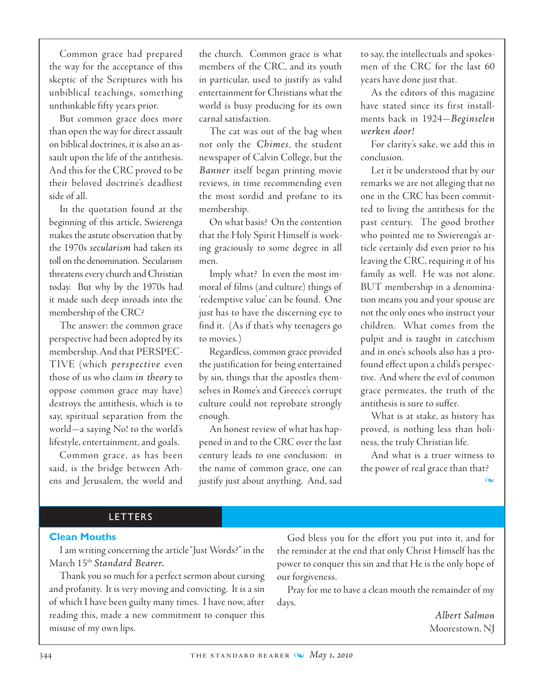Common grace had prepared the way for the acceptance of this skeptic of the Scriptures with his unbiblical teachings, something unthinkable fifty years prior.

But common grace does more than open the way for direct assault on biblical doctrines, it is also an assault upon the life of the antithesis. And this for the CRC proved to be their beloved doctrine's deadliest side of all.

In the quotation found at the beginning of this article, Swierenga makes the astute observation that by the 1970s *secularism* had taken its toll on the denomination. Secularism threatens every church and Christian today. But why by the 1970s had it made such deep inroads into the membership of the CRC?

The answer: the common grace perspective had been adopted by its membership. And that PERSPEC-TIVE (which *perspective* even those of us who claim *in theory* to oppose common grace may have) destroys the antithesis, which is to say, spiritual separation from the world—a saying No! to the world's lifestyle, entertainment, and goals.

Common grace, as has been said, is the bridge between Athens and Jerusalem, the world and the church. Common grace is what members of the CRC, and its youth in particular, used to justify as valid entertainment for Christians what the world is busy producing for its own carnal satisfaction.

The cat was out of the bag when not only the *Chimes*, the student newspaper of Calvin College, but the *Banner* itself began printing movie reviews, in time recommending even the most sordid and profane to its membership.

 On what basis? On the contention that the Holy Spirit Himself is working graciously to some degree in all men.

Imply what? In even the most immoral of films (and culture) things of 'redemptive value' can be found. One just has to have the discerning eye to find it. (As if that's why teenagers go to movies.)

Regardless, common grace provided the justification for being entertained by sin, things that the apostles themselves in Rome's and Greece's corrupt culture could not reprobate strongly enough.

An honest review of what has happened in and to the CRC over the last century leads to one conclusion: in the name of common grace, one can justify just about anything. And, sad

to say, the intellectuals and spokesmen of the CRC for the last 60 years have done just that.

As the editors of this magazine have stated since its first installments back in 1924—*Beginselen werken door!*

For clarity's sake, we add this in conclusion.

 Let it be understood that by our remarks we are not alleging that no one in the CRC has been committed to living the antithesis for the past century. The good brother who pointed me to Swierenga's article certainly did even prior to his leaving the CRC, requiring it of his family as well. He was not alone. BUT membership in a denomination means you and your spouse are not the only ones who instruct your children. What comes from the pulpit and is taught in catechism and in one's schools also has a profound effect upon a child's perspective. And where the evil of common grace permeates, the truth of the antithesis is sure to suffer.

What is at stake, as history has proved, is nothing less than holiness, the truly Christian life.

And what is a truer witness to the power of real grace than that?

m

#### **LETTERS**

#### **Clean Mouths**

I am writing concerning the article "Just Words?" in the March 15th *Standard Bearer.*

Thank you so much for a perfect sermon about cursing and profanity. It is very moving and convicting. It is a sin of which I have been guilty many times. I have now, after reading this, made a new commitment to conquer this misuse of my own lips.

God bless you for the effort you put into it, and for the reminder at the end that only Christ Himself has the power to conquer this sin and that He is the only hope of our forgiveness.

Pray for me to have a clean mouth the remainder of my days.

> *Albert Salmon* Moorestown, NJ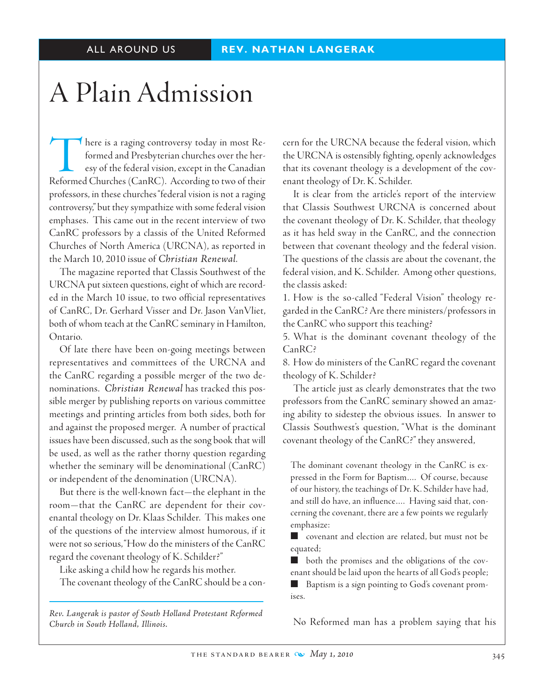# A Plain Admission

There is a raging controversy today in most Reformed and Presbyterian churches over the heresy of the federal vision, except in the Canadian Reformed Churches (CanRC). According to two of their professors, in these churches "federal vision is not a raging controversy," but they sympathize with some federal vision emphases. This came out in the recent interview of two CanRC professors by a classis of the United Reformed Churches of North America (URCNA), as reported in the March 10, 2010 issue of *Christian Renewal*.

The magazine reported that Classis Southwest of the URCNA put sixteen questions, eight of which are recorded in the March 10 issue, to two official representatives of CanRC, Dr. Gerhard Visser and Dr. Jason VanVliet, both of whom teach at the CanRC seminary in Hamilton, Ontario.

 Of late there have been on-going meetings between representatives and committees of the URCNA and the CanRC regarding a possible merger of the two denominations. *Christian Renewal* has tracked this possible merger by publishing reports on various committee meetings and printing articles from both sides, both for and against the proposed merger. A number of practical issues have been discussed, such as the song book that will be used, as well as the rather thorny question regarding whether the seminary will be denominational (CanRC) or independent of the denomination (URCNA).

But there is the well-known fact—the elephant in the room—that the CanRC are dependent for their covenantal theology on Dr. Klaas Schilder. This makes one of the questions of the interview almost humorous, if it were not so serious, "How do the ministers of the CanRC regard the covenant theology of K. Schilder?"

Like asking a child how he regards his mother.

The covenant theology of the CanRC should be a con-

*Rev. Langerak is pastor of South Holland Protestant Reformed Church in South Holland, Illinois.*

cern for the URCNA because the federal vision, which the URCNA is ostensibly fighting, openly acknowledges that its covenant theology is a development of the covenant theology of Dr. K. Schilder.

It is clear from the article's report of the interview that Classis Southwest URCNA is concerned about the covenant theology of Dr. K. Schilder, that theology as it has held sway in the CanRC, and the connection between that covenant theology and the federal vision. The questions of the classis are about the covenant, the federal vision, and K. Schilder. Among other questions, the classis asked:

1. How is the so-called "Federal Vision" theology regarded in the CanRC? Are there ministers/professors in the CanRC who support this teaching?

5. What is the dominant covenant theology of the CanRC?

8. How do ministers of the CanRC regard the covenant theology of K. Schilder?

The article just as clearly demonstrates that the two professors from the CanRC seminary showed an amazing ability to sidestep the obvious issues. In answer to Classis Southwest's question, "What is the dominant covenant theology of the CanRC?" they answered,

The dominant covenant theology in the CanRC is expressed in the Form for Baptism…. Of course, because of our history, the teachings of Dr. K. Schilder have had, and still do have, an influence…. Having said that, concerning the covenant, there are a few points we regularly emphasize:

 $\blacksquare$  covenant and election are related, but must not be equated;

 $\blacksquare$  both the promises and the obligations of the covenant should be laid upon the hearts of all God's people;

Baptism is a sign pointing to God's covenant promises.

No Reformed man has a problem saying that his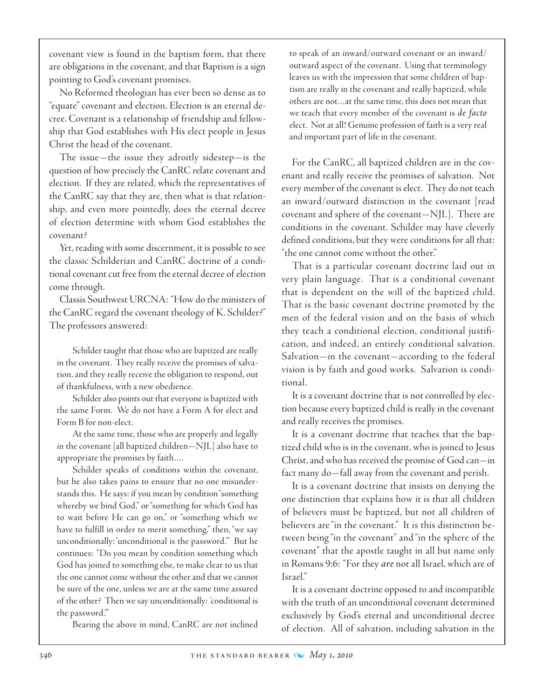covenant view is found in the baptism form, that there are obligations in the covenant, and that Baptism is a sign pointing to God's covenant promises.

 No Reformed theologian has ever been so dense as to "equate" covenant and election. Election is an eternal decree. Covenant is a relationship of friendship and fellowship that God establishes with His elect people in Jesus Christ the head of the covenant.

The issue—the issue they adroitly sidestep—is the question of how precisely the CanRC relate covenant and election. If they are related, which the representatives of the CanRC say that they are, then what is that relationship, and even more pointedly, does the eternal decree of election determine with whom God establishes the covenant?

Yet, reading with some discernment, it is possible to see the classic Schilderian and CanRC doctrine of a conditional covenant cut free from the eternal decree of election come through.

Classis Southwest URCNA: "How do the ministers of the CanRC regard the covenant theology of K. Schilder?" The professors answered:

Schilder taught that those who are baptized are really in the covenant. They really receive the promises of salvation, and they really receive the obligation to respond, out of thankfulness, with a new obedience.

Schilder also points out that everyone is baptized with the same Form. We do not have a Form A for elect and Form B for non-elect.

At the same time, those who are properly and legally in the covenant [all baptized children—NJL] also have to appropriate the promises by faith….

Schilder speaks of conditions within the covenant, but he also takes pains to ensure that no one misunderstands this. He says: if you mean by condition "something whereby we bind God," or "something for which God has to wait before He can go on," or "something which we have to fulfill in order to merit something," then, "we say unconditionally: 'unconditional is the password.'" But he continues: "Do you mean by condition something which God has joined to something else, to make clear to us that the one cannot come without the other and that we cannot be sure of the one, unless we are at the same time assured of the other? Then we say unconditionally: 'conditional is the password.'"

Bearing the above in mind, CanRC are not inclined

to speak of an inward/outward covenant or an inward/ outward aspect of the covenant. Using that terminology leaves us with the impression that some children of baptism are really in the covenant and really baptized, while others are not…at the same time, this does not mean that we teach that every member of the covenant is *de facto* elect. Not at all! Genuine profession of faith is a very real and important part of life in the covenant.

For the CanRC, all baptized children are in the covenant and really receive the promises of salvation. Not every member of the covenant is elect. They do not teach an inward/outward distinction in the covenant [read covenant and sphere of the covenant—NJL]. There are conditions in the covenant. Schilder may have cleverly defined conditions, but they were conditions for all that: "the one cannot come without the other."

That is a particular covenant doctrine laid out in very plain language. That is a conditional covenant that is dependent on the will of the baptized child. That is the basic covenant doctrine promoted by the men of the federal vision and on the basis of which they teach a conditional election, conditional justification, and indeed, an entirely conditional salvation. Salvation—in the covenant—according to the federal vision is by faith and good works. Salvation is conditional.

It is a covenant doctrine that is not controlled by election because every baptized child is really in the covenant and really receives the promises.

It is a covenant doctrine that teaches that the baptized child who is in the covenant, who is joined to Jesus Christ, and who has received the promise of God can—in fact many do—fall away from the covenant and perish.

It is a covenant doctrine that insists on denying the one distinction that explains how it is that all children of believers must be baptized, but not all children of believers are "in the covenant." It is this distinction between being "in the covenant" and "in the sphere of the covenant" that the apostle taught in all but name only in Romans 9:6: "For they *are* not all Israel, which are of Israel."

It is a covenant doctrine opposed to and incompatible with the truth of an unconditional covenant determined exclusively by God's eternal and unconditional decree of election. All of salvation, including salvation in the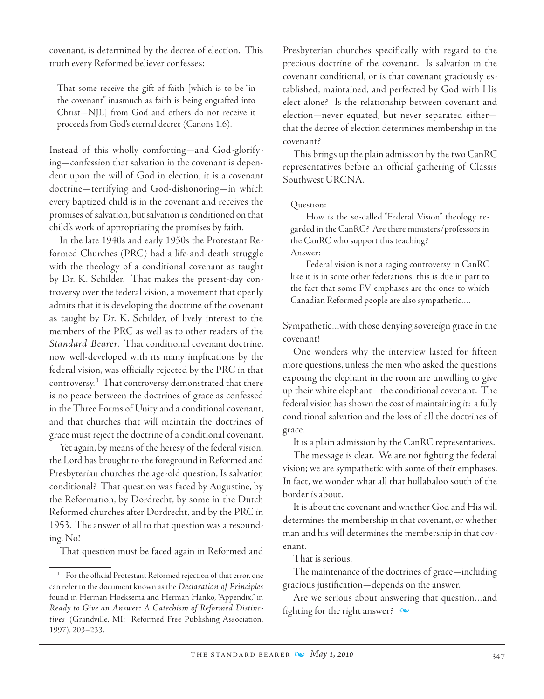covenant, is determined by the decree of election. This truth every Reformed believer confesses:

That some receive the gift of faith [which is to be "in the covenant" inasmuch as faith is being engrafted into Christ—NJL] from God and others do not receive it proceeds from God's eternal decree (Canons 1.6).

Instead of this wholly comforting—and God-glorifying—confession that salvation in the covenant is dependent upon the will of God in election, it is a covenant doctrine—terrifying and God-dishonoring—in which every baptized child is in the covenant and receives the promises of salvation, but salvation is conditioned on that child's work of appropriating the promises by faith.

In the late 1940s and early 1950s the Protestant Reformed Churches (PRC) had a life-and-death struggle with the theology of a conditional covenant as taught by Dr. K. Schilder. That makes the present-day controversy over the federal vision, a movement that openly admits that it is developing the doctrine of the covenant as taught by Dr. K. Schilder, of lively interest to the members of the PRC as well as to other readers of the *Standard Bearer*. That conditional covenant doctrine, now well-developed with its many implications by the federal vision, was officially rejected by the PRC in that controversy.<sup>1</sup> That controversy demonstrated that there is no peace between the doctrines of grace as confessed in the Three Forms of Unity and a conditional covenant, and that churches that will maintain the doctrines of grace must reject the doctrine of a conditional covenant.

Yet again, by means of the heresy of the federal vision, the Lord has brought to the foreground in Reformed and Presbyterian churches the age-old question, Is salvation conditional? That question was faced by Augustine, by the Reformation, by Dordrecht, by some in the Dutch Reformed churches after Dordrecht, and by the PRC in 1953. The answer of all to that question was a resounding, No!

That question must be faced again in Reformed and

Presbyterian churches specifically with regard to the precious doctrine of the covenant. Is salvation in the covenant conditional, or is that covenant graciously established, maintained, and perfected by God with His elect alone? Is the relationship between covenant and election—never equated, but never separated either that the decree of election determines membership in the covenant?

This brings up the plain admission by the two CanRC representatives before an official gathering of Classis Southwest URCNA.

#### Question:

How is the so-called "Federal Vision" theology regarded in the CanRC? Are there ministers/professors in the CanRC who support this teaching? Answer:

Federal vision is not a raging controversy in CanRC like it is in some other federations; this is due in part to the fact that some FV emphases are the ones to which Canadian Reformed people are also sympathetic….

Sympathetic…with those denying sovereign grace in the covenant!

One wonders why the interview lasted for fifteen more questions, unless the men who asked the questions exposing the elephant in the room are unwilling to give up their white elephant—the conditional covenant. The federal vision has shown the cost of maintaining it: a fully conditional salvation and the loss of all the doctrines of grace.

It is a plain admission by the CanRC representatives.

The message is clear. We are not fighting the federal vision; we are sympathetic with some of their emphases. In fact, we wonder what all that hullabaloo south of the border is about.

It is about the covenant and whether God and His will determines the membership in that covenant, or whether man and his will determines the membership in that covenant.

#### That is serious.

The maintenance of the doctrines of grace—including gracious justification—depends on the answer.

Are we serious about answering that question…and fighting for the right answer?  $\infty$ 

For the official Protestant Reformed rejection of that error, one can refer to the document known as the *Declaration of Principles* found in Herman Hoeksema and Herman Hanko, "Appendix," in *Ready to Give an Answer: A Catechism of Reformed Distinctives* (Grandville, MI: Reformed Free Publishing Association, 1997), 203–233.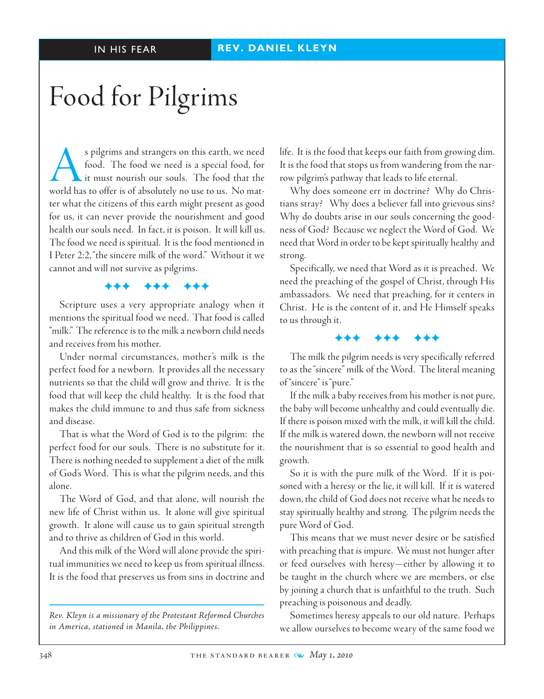# Food for Pilgrims

s pilgrims and strangers on this earth, we need<br>food. The food we need is a special food, for<br>it must nourish our souls. The food that the<br>world has to offer is of absolutely no use to us. No matfood. The food we need is a special food, for it must nourish our souls. The food that the world has to offer is of absolutely no use to us. No matter what the citizens of this earth might present as good for us, it can never provide the nourishment and good health our souls need. In fact, it is poison. It will kill us. The food we need is spiritual. It is the food mentioned in I Peter 2:2, "the sincere milk of the word." Without it we cannot and will not survive as pilgrims.

#### FFF FFF FFF

Scripture uses a very appropriate analogy when it mentions the spiritual food we need. That food is called "milk." The reference is to the milk a newborn child needs and receives from his mother.

 Under normal circumstances, mother's milk is the perfect food for a newborn. It provides all the necessary nutrients so that the child will grow and thrive. It is the food that will keep the child healthy. It is the food that makes the child immune to and thus safe from sickness and disease.

That is what the Word of God is to the pilgrim: the perfect food for our souls. There is no substitute for it. There is nothing needed to supplement a diet of the milk of God's Word. This is what the pilgrim needs, and this alone.

The Word of God, and that alone, will nourish the new life of Christ within us. It alone will give spiritual growth. It alone will cause us to gain spiritual strength and to thrive as children of God in this world.

And this milk of the Word will alone provide the spiritual immunities we need to keep us from spiritual illness. It is the food that preserves us from sins in doctrine and

*Rev. Kleyn is a missionary of the Protestant Reformed Churches in America, stationed in Manila, the Philippines.*

life. It is the food that keeps our faith from growing dim. It is the food that stops us from wandering from the narrow pilgrim's pathway that leads to life eternal.

Why does someone err in doctrine? Why do Christians stray? Why does a believer fall into grievous sins? Why do doubts arise in our souls concerning the goodness of God? Because we neglect the Word of God. We need that Word in order to be kept spiritually healthy and strong.

Specifically, we need that Word as it is preached. We need the preaching of the gospel of Christ, through His ambassadors. We need that preaching, for it centers in Christ. He is the content of it, and He Himself speaks to us through it.

The milk the pilgrim needs is very specifically referred to as the "sincere" milk of the Word. The literal meaning of "sincere" is "pure."

FFF FFF FFF

If the milk a baby receives from his mother is not pure, the baby will become unhealthy and could eventually die. If there is poison mixed with the milk, it will kill the child. If the milk is watered down, the newborn will not receive the nourishment that is so essential to good health and growth.

So it is with the pure milk of the Word. If it is poisoned with a heresy or the lie, it will kill. If it is watered down, the child of God does not receive what he needs to stay spiritually healthy and strong. The pilgrim needs the pure Word of God.

This means that we must never desire or be satisfied with preaching that is impure. We must not hunger after or feed ourselves with heresy—either by allowing it to be taught in the church where we are members, or else by joining a church that is unfaithful to the truth. Such preaching is poisonous and deadly.

Sometimes heresy appeals to our old nature. Perhaps we allow ourselves to become weary of the same food we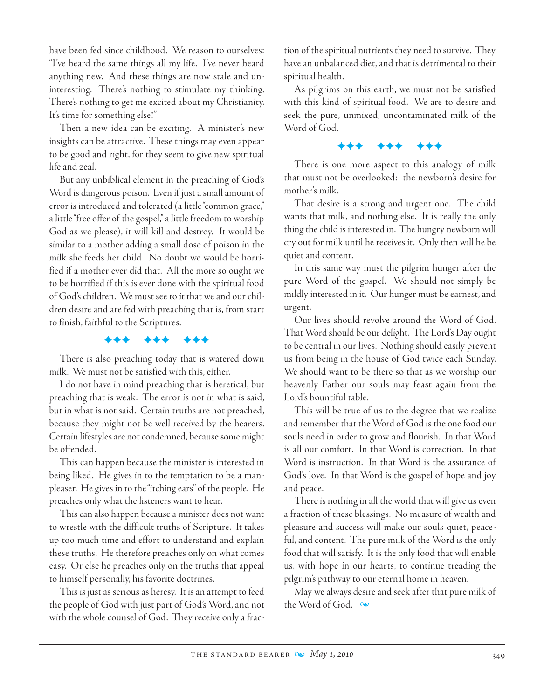have been fed since childhood. We reason to ourselves: "I've heard the same things all my life. I've never heard anything new. And these things are now stale and uninteresting. There's nothing to stimulate my thinking. There's nothing to get me excited about my Christianity. It's time for something else!"

Then a new idea can be exciting. A minister's new insights can be attractive. These things may even appear to be good and right, for they seem to give new spiritual life and zeal.

But any unbiblical element in the preaching of God's Word is dangerous poison. Even if just a small amount of error is introduced and tolerated (a little "common grace," a little "free offer of the gospel," a little freedom to worship God as we please), it will kill and destroy. It would be similar to a mother adding a small dose of poison in the milk she feeds her child. No doubt we would be horrified if a mother ever did that. All the more so ought we to be horrified if this is ever done with the spiritual food of God's children. We must see to it that we and our children desire and are fed with preaching that is, from start to finish, faithful to the Scriptures.

#### FFF FFF FFF

There is also preaching today that is watered down milk. We must not be satisfied with this, either.

I do not have in mind preaching that is heretical, but preaching that is weak. The error is not in what is said, but in what is not said. Certain truths are not preached, because they might not be well received by the hearers. Certain lifestyles are not condemned, because some might be offended.

This can happen because the minister is interested in being liked. He gives in to the temptation to be a manpleaser. He gives in to the "itching ears" of the people. He preaches only what the listeners want to hear.

This can also happen because a minister does not want to wrestle with the difficult truths of Scripture. It takes up too much time and effort to understand and explain these truths. He therefore preaches only on what comes easy. Or else he preaches only on the truths that appeal to himself personally, his favorite doctrines.

This is just as serious as heresy. It is an attempt to feed the people of God with just part of God's Word, and not with the whole counsel of God. They receive only a frac-

tion of the spiritual nutrients they need to survive. They have an unbalanced diet, and that is detrimental to their spiritual health.

As pilgrims on this earth, we must not be satisfied with this kind of spiritual food. We are to desire and seek the pure, unmixed, uncontaminated milk of the Word of God.

#### FFF FFF FFF

There is one more aspect to this analogy of milk that must not be overlooked: the newborn's desire for mother's milk.

That desire is a strong and urgent one. The child wants that milk, and nothing else. It is really the only thing the child is interested in. The hungry newborn will cry out for milk until he receives it. Only then will he be quiet and content.

In this same way must the pilgrim hunger after the pure Word of the gospel. We should not simply be mildly interested in it. Our hunger must be earnest, and urgent.

 Our lives should revolve around the Word of God. That Word should be our delight. The Lord's Day ought to be central in our lives. Nothing should easily prevent us from being in the house of God twice each Sunday. We should want to be there so that as we worship our heavenly Father our souls may feast again from the Lord's bountiful table.

This will be true of us to the degree that we realize and remember that the Word of God is the one food our souls need in order to grow and flourish. In that Word is all our comfort. In that Word is correction. In that Word is instruction. In that Word is the assurance of God's love. In that Word is the gospel of hope and joy and peace.

There is nothing in all the world that will give us even a fraction of these blessings. No measure of wealth and pleasure and success will make our souls quiet, peaceful, and content. The pure milk of the Word is the only food that will satisfy. It is the only food that will enable us, with hope in our hearts, to continue treading the pilgrim's pathway to our eternal home in heaven.

May we always desire and seek after that pure milk of the Word of God.  $\infty$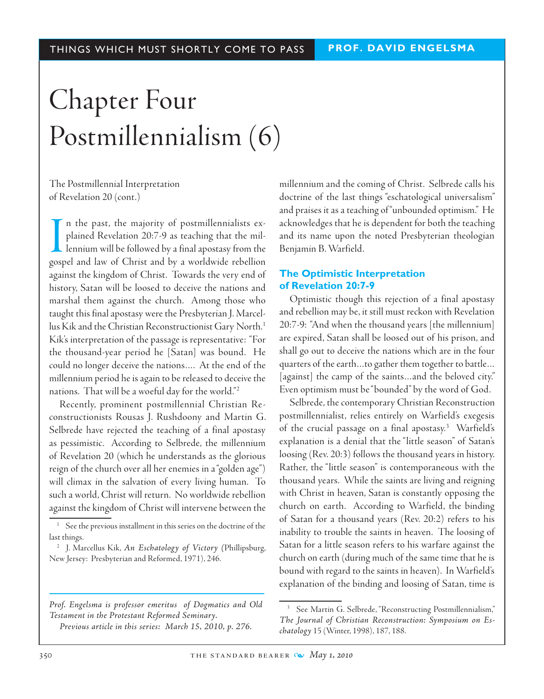# Chapter Four Postmillennialism (6)

The Postmillennial Interpretation of Revelation 20 (cont.)

I<sub>oost</sub> n the past, the majority of postmillennialists explained Revelation 20:7-9 as teaching that the millennium will be followed by a final apostasy from the gospel and law of Christ and by a worldwide rebellion against the kingdom of Christ. Towards the very end of history, Satan will be loosed to deceive the nations and marshal them against the church. Among those who taught this final apostasy were the Presbyterian J. Marcellus Kik and the Christian Reconstructionist Gary North.<sup>1</sup> Kik's interpretation of the passage is representative: "For the thousand-year period he [Satan] was bound. He could no longer deceive the nations…. At the end of the millennium period he is again to be released to deceive the nations. That will be a woeful day for the world."2

Recently, prominent postmillennial Christian Reconstructionists Rousas J. Rushdoony and Martin G. Selbrede have rejected the teaching of a final apostasy as pessimistic. According to Selbrede, the millennium of Revelation 20 (which he understands as the glorious reign of the church over all her enemies in a "golden age") will climax in the salvation of every living human. To such a world, Christ will return. No worldwide rebellion against the kingdom of Christ will intervene between the

*Prof. Engelsma is professor emeritus of Dogmatics and Old Testament in the Protestant Reformed Seminary.*

*Previous article in this series: March 15, 2010, p. 276.*

millennium and the coming of Christ. Selbrede calls his doctrine of the last things "eschatological universalism" and praises it as a teaching of "unbounded optimism." He acknowledges that he is dependent for both the teaching and its name upon the noted Presbyterian theologian Benjamin B. Warfield.

#### **The Optimistic Interpretation of Revelation 20:7-9**

 Optimistic though this rejection of a final apostasy and rebellion may be, it still must reckon with Revelation 20:7-9: "And when the thousand years [the millennium] are expired, Satan shall be loosed out of his prison, and shall go out to deceive the nations which are in the four quarters of the earth…to gather them together to battle… [against] the camp of the saints…and the beloved city." Even optimism must be "bounded" by the word of God.

Selbrede, the contemporary Christian Reconstruction postmillennialist, relies entirely on Warfield's exegesis of the crucial passage on a final apostasy.3 Warfield's explanation is a denial that the "little season" of Satan's loosing (Rev. 20:3) follows the thousand years in history. Rather, the "little season" is contemporaneous with the thousand years. While the saints are living and reigning with Christ in heaven, Satan is constantly opposing the church on earth. According to Warfield, the binding of Satan for a thousand years (Rev. 20:2) refers to his inability to trouble the saints in heaven. The loosing of Satan for a little season refers to his warfare against the church on earth (during much of the same time that he is bound with regard to the saints in heaven). In Warfield's explanation of the binding and loosing of Satan, time is

See the previous installment in this series on the doctrine of the last things.

<sup>2</sup> J. Marcellus Kik, *An Eschatology of Victory (*Phillipsburg, New Jersey: Presbyterian and Reformed, 1971), 246.

<sup>&</sup>lt;sup>3</sup> See Martin G. Selbrede, "Reconstructing Postmillennialism," *The Journal of Christian Reconstruction: Symposium on Eschatology* 15 (Winter, 1998), 187, 188.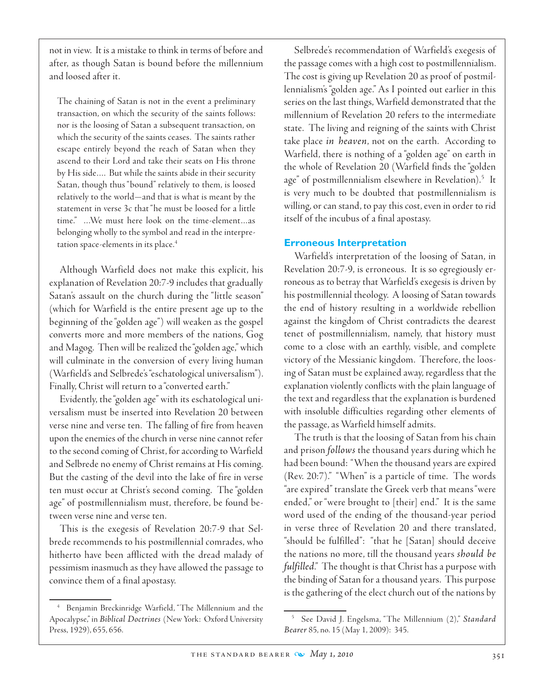not in view. It is a mistake to think in terms of before and after, as though Satan is bound before the millennium and loosed after it.

The chaining of Satan is not in the event a preliminary transaction, on which the security of the saints follows: nor is the loosing of Satan a subsequent transaction, on which the security of the saints ceases. The saints rather escape entirely beyond the reach of Satan when they ascend to their Lord and take their seats on His throne by His side…. But while the saints abide in their security Satan, though thus "bound" relatively to them, is loosed relatively to the world—and that is what is meant by the statement in verse 3c that "he must be loosed for a little time." …We must here look on the time-element…as belonging wholly to the symbol and read in the interpretation space-elements in its place.<sup>4</sup>

Although Warfield does not make this explicit, his explanation of Revelation 20:7-9 includes that gradually Satan's assault on the church during the "little season" (which for Warfield is the entire present age up to the beginning of the "golden age") will weaken as the gospel converts more and more members of the nations, Gog and Magog. Then will be realized the "golden age," which will culminate in the conversion of every living human (Warfield's and Selbrede's "eschatological universalism"). Finally, Christ will return to a "converted earth."

 Evidently, the "golden age" with its eschatological universalism must be inserted into Revelation 20 between verse nine and verse ten. The falling of fire from heaven upon the enemies of the church in verse nine cannot refer to the second coming of Christ, for according to Warfield and Selbrede no enemy of Christ remains at His coming. But the casting of the devil into the lake of fire in verse ten must occur at Christ's second coming. The "golden age" of postmillennialism must, therefore, be found between verse nine and verse ten.

This is the exegesis of Revelation 20:7-9 that Selbrede recommends to his postmillennial comrades, who hitherto have been afflicted with the dread malady of pessimism inasmuch as they have allowed the passage to convince them of a final apostasy.

Selbrede's recommendation of Warfield's exegesis of the passage comes with a high cost to postmillennialism. The cost is giving up Revelation 20 as proof of postmillennialism's "golden age." As I pointed out earlier in this series on the last things, Warfield demonstrated that the millennium of Revelation 20 refers to the intermediate state. The living and reigning of the saints with Christ take place *in heaven*, not on the earth. According to Warfield, there is nothing of a "golden age" on earth in the whole of Revelation 20 (Warfield finds the "golden age" of postmillennialism elsewhere in Revelation).<sup>5</sup> It is very much to be doubted that postmillennialism is willing, or can stand, to pay this cost, even in order to rid itself of the incubus of a final apostasy.

#### **Erroneous Interpretation**

Warfield's interpretation of the loosing of Satan, in Revelation 20:7-9, is erroneous. It is so egregiously erroneous as to betray that Warfield's exegesis is driven by his postmillennial theology. A loosing of Satan towards the end of history resulting in a worldwide rebellion against the kingdom of Christ contradicts the dearest tenet of postmillennialism, namely, that history must come to a close with an earthly, visible, and complete victory of the Messianic kingdom. Therefore, the loosing of Satan must be explained away, regardless that the explanation violently conflicts with the plain language of the text and regardless that the explanation is burdened with insoluble difficulties regarding other elements of the passage, as Warfield himself admits.

The truth is that the loosing of Satan from his chain and prison *follows* the thousand years during which he had been bound: "When the thousand years are expired (Rev. 20:7)." "When" is a particle of time. The words "are expired" translate the Greek verb that means "were ended," or "were brought to [their] end." It is the same word used of the ending of the thousand-year period in verse three of Revelation 20 and there translated, "should be fulfilled": "that he [Satan] should deceive the nations no more, till the thousand years *should be fulfilled*." The thought is that Christ has a purpose with the binding of Satan for a thousand years. This purpose is the gathering of the elect church out of the nations by

<sup>4</sup> Benjamin Breckinridge Warfield, "The Millennium and the Apocalypse," in *Biblical Doctrines* (New York: Oxford University Press, 1929), 655, 656.

<sup>5</sup> See David J. Engelsma, "The Millennium (2)," *Standard Bearer* 85, no. 15 (May 1, 2009): 345.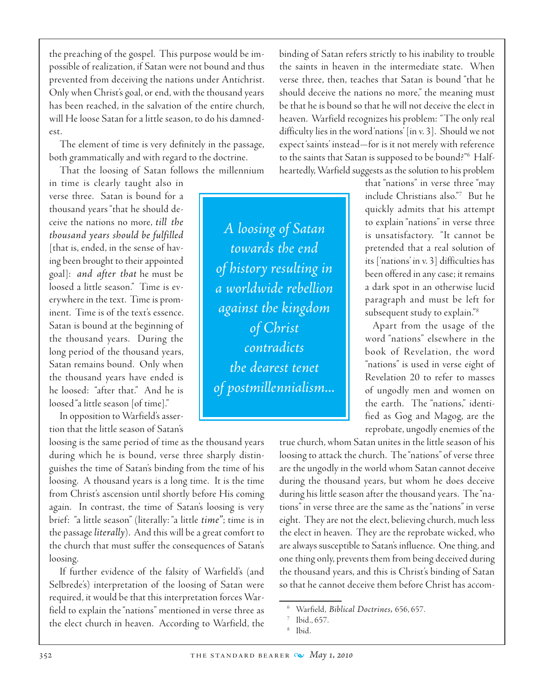the preaching of the gospel. This purpose would be impossible of realization, if Satan were not bound and thus prevented from deceiving the nations under Antichrist. Only when Christ's goal, or end, with the thousand years has been reached, in the salvation of the entire church, will He loose Satan for a little season, to do his damnedest.

The element of time is very definitely in the passage, both grammatically and with regard to the doctrine.

That the loosing of Satan follows the millennium

in time is clearly taught also in verse three. Satan is bound for a thousand years "that he should deceive the nations no more, *till the thousand years should be fulfilled* [that is, ended, in the sense of having been brought to their appointed goal]: *and after that* he must be loosed a little season." Time is everywhere in the text. Time is prominent. Time is of the text's essence. Satan is bound at the beginning of the thousand years. During the long period of the thousand years, Satan remains bound. Only when the thousand years have ended is he loosed: "after that." And he is loosed "a little season [of time]."

In opposition to Warfield's assertion that the little season of Satan's

loosing is the same period of time as the thousand years during which he is bound, verse three sharply distinguishes the time of Satan's binding from the time of his loosing. A thousand years is a long time. It is the time from Christ's ascension until shortly before His coming again. In contrast, the time of Satan's loosing is very brief: "a little season" (literally: "a little *time"*; time is in the passage *literally*). And this will be a great comfort to the church that must suffer the consequences of Satan's loosing.

If further evidence of the falsity of Warfield's (and Selbrede's) interpretation of the loosing of Satan were required, it would be that this interpretation forces Warfield to explain the "nations" mentioned in verse three as the elect church in heaven. According to Warfield, the

binding of Satan refers strictly to his inability to trouble the saints in heaven in the intermediate state. When verse three, then, teaches that Satan is bound "that he should deceive the nations no more," the meaning must be that he is bound so that he will not deceive the elect in heaven. Warfield recognizes his problem: "The only real difficulty lies in the word 'nations' [in v. 3]. Should we not expect 'saints' instead—for is it not merely with reference to the saints that Satan is supposed to be bound?"<sup>6</sup> Halfheartedly, Warfield suggests as the solution to his problem

*A loosing of Satan towards the end of history resulting in a worldwide rebellion against the kingdom of Christ contradicts the dearest tenet of postmillennialism...* that "nations" in verse three "may include Christians also."7 But he quickly admits that his attempt to explain "nations" in verse three is unsatisfactory. "It cannot be pretended that a real solution of its ['nations' in v. 3] difficulties has been offered in any case; it remains a dark spot in an otherwise lucid paragraph and must be left for subsequent study to explain."<sup>8</sup>

Apart from the usage of the word "nations" elsewhere in the book of Revelation, the word "nations" is used in verse eight of Revelation 20 to refer to masses of ungodly men and women on the earth. The "nations," identified as Gog and Magog, are the reprobate, ungodly enemies of the

true church, whom Satan unites in the little season of his loosing to attack the church. The "nations" of verse three are the ungodly in the world whom Satan cannot deceive during the thousand years, but whom he does deceive during his little season after the thousand years. The "nations" in verse three are the same as the "nations" in verse eight. They are not the elect, believing church, much less the elect in heaven. They are the reprobate wicked, who are always susceptible to Satan's influence. One thing, and one thing only, prevents them from being deceived during the thousand years, and this is Christ's binding of Satan so that he cannot deceive them before Christ has accom-

<sup>6</sup> Warfield, *Biblical Doctrines,* 656, 657.

Ibid., 657.

Ibid.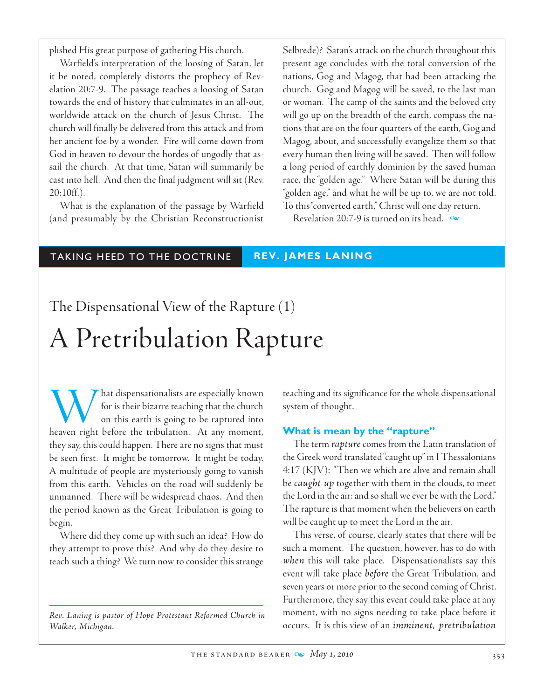plished His great purpose of gathering His church.

Warfield's interpretation of the loosing of Satan, let it be noted, completely distorts the prophecy of Revelation 20:7-9. The passage teaches a loosing of Satan towards the end of history that culminates in an all-out, worldwide attack on the church of Jesus Christ. The church will finally be delivered from this attack and from her ancient foe by a wonder. Fire will come down from God in heaven to devour the hordes of ungodly that assail the church. At that time, Satan will summarily be cast into hell. And then the final judgment will sit (Rev. 20:10ff.).

What is the explanation of the passage by Warfield (and presumably by the Christian Reconstructionist Selbrede)? Satan's attack on the church throughout this present age concludes with the total conversion of the nations, Gog and Magog, that had been attacking the church. Gog and Magog will be saved, to the last man or woman. The camp of the saints and the beloved city will go up on the breadth of the earth, compass the nations that are on the four quarters of the earth, Gog and Magog, about, and successfully evangelize them so that every human then living will be saved. Then will follow a long period of earthly dominion by the saved human race, the "golden age." Where Satan will be during this "golden age," and what he will be up to, we are not told. To this "converted earth," Christ will one day return.

Revelation 20:7-9 is turned on its head.  $\infty$ 

## TAKING HEED TO THE DOCTRINE **REV. JAMES LANING**

# The Dispensational View of the Rapture (1) A Pretribulation Rapture

What dispensationalists are especially known<br>for is their bizarre teaching that the church<br>on this earth is going to be raptured into<br>heaven right before the tribulation. At any moment, for is their bizarre teaching that the church on this earth is going to be raptured into they say, this could happen. There are no signs that must be seen first. It might be tomorrow. It might be today. A multitude of people are mysteriously going to vanish from this earth. Vehicles on the road will suddenly be unmanned. There will be widespread chaos. And then the period known as the Great Tribulation is going to begin.

Where did they come up with such an idea? How do they attempt to prove this? And why do they desire to teach such a thing? We turn now to consider this strange

*Rev. Laning is pastor of Hope Protestant Reformed Church in Walker, Michigan.*

teaching and its significance for the whole dispensational system of thought.

## **What is mean by the "rapture"**

The term *rapture* comes from the Latin translation of the Greek word translated "caught up" in I Thessalonians 4:17 (KJV): "Then we which are alive and remain shall be *caught up* together with them in the clouds, to meet the Lord in the air: and so shall we ever be with the Lord." The rapture is that moment when the believers on earth will be caught up to meet the Lord in the air.

This verse, of course, clearly states that there will be such a moment. The question, however, has to do with *when* this will take place. Dispensationalists say this event will take place *before* the Great Tribulation, and seven years or more prior to the second coming of Christ. Furthermore, they say this event could take place at any moment, with no signs needing to take place before it occurs. It is this view of an *imminent, pretribulation*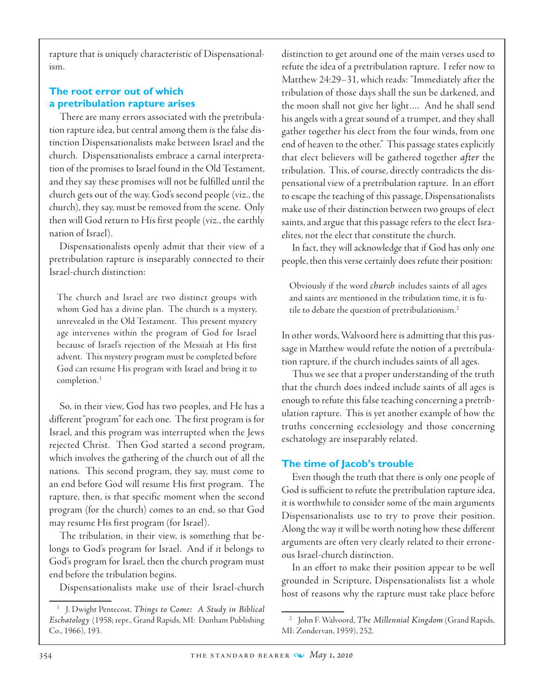rapture that is uniquely characteristic of Dispensationalism.

## **The root error out of which a pretribulation rapture arises**

There are many errors associated with the pretribulation rapture idea, but central among them is the false distinction Dispensationalists make between Israel and the church. Dispensationalists embrace a carnal interpretation of the promises to Israel found in the Old Testament, and they say these promises will not be fulfilled until the church gets out of the way. God's second people (viz., the church), they say, must be removed from the scene. Only then will God return to His first people (viz., the earthly nation of Israel).

Dispensationalists openly admit that their view of a pretribulation rapture is inseparably connected to their Israel-church distinction:

The church and Israel are two distinct groups with whom God has a divine plan. The church is a mystery, unrevealed in the Old Testament. This present mystery age intervenes within the program of God for Israel because of Israel's rejection of the Messiah at His first advent. This mystery program must be completed before God can resume His program with Israel and bring it to completion.<sup>1</sup>

So, in their view, God has two peoples, and He has a different "program" for each one. The first program is for Israel, and this program was interrupted when the Jews rejected Christ. Then God started a second program, which involves the gathering of the church out of all the nations. This second program, they say, must come to an end before God will resume His first program. The rapture, then, is that specific moment when the second program (for the church) comes to an end, so that God may resume His first program (for Israel).

The tribulation, in their view, is something that belongs to God's program for Israel. And if it belongs to God's program for Israel, then the church program must end before the tribulation begins.

Dispensationalists make use of their Israel-church

distinction to get around one of the main verses used to refute the idea of a pretribulation rapture. I refer now to Matthew 24:29–31, which reads: "Immediately after the tribulation of those days shall the sun be darkened, and the moon shall not give her light…. And he shall send his angels with a great sound of a trumpet, and they shall gather together his elect from the four winds, from one end of heaven to the other." This passage states explicitly that elect believers will be gathered together *after* the tribulation. This, of course, directly contradicts the dispensational view of a pretribulation rapture. In an effort to escape the teaching of this passage, Dispensationalists make use of their distinction between two groups of elect saints, and argue that this passage refers to the elect Israelites, not the elect that constitute the church.

In fact, they will acknowledge that if God has only one people, then this verse certainly does refute their position:

Obviously if the word *church* includes saints of all ages and saints are mentioned in the tribulation time, it is futile to debate the question of pretribulationism.<sup>2</sup>

In other words, Walvoord here is admitting that this passage in Matthew would refute the notion of a pretribulation rapture, if the church includes saints of all ages.

Thus we see that a proper understanding of the truth that the church does indeed include saints of all ages is enough to refute this false teaching concerning a pretribulation rapture. This is yet another example of how the truths concerning ecclesiology and those concerning eschatology are inseparably related.

## **The time of Jacob's trouble**

Even though the truth that there is only one people of God is sufficient to refute the pretribulation rapture idea, it is worthwhile to consider some of the main arguments Dispensationalists use to try to prove their position. Along the way it will be worth noting how these different arguments are often very clearly related to their erroneous Israel-church distinction.

In an effort to make their position appear to be well grounded in Scripture, Dispensationalists list a whole host of reasons why the rapture must take place before

<sup>1</sup> J. Dwight Pentecost, *Things to Come: A Study in Biblical Eschatology* (1958; repr., Grand Rapids, MI: Dunham Publishing Co., 1966), 193.

<sup>2</sup> John F. Walvoord, *The Millennial Kingdom* (Grand Rapids, MI: Zondervan, 1959), 252.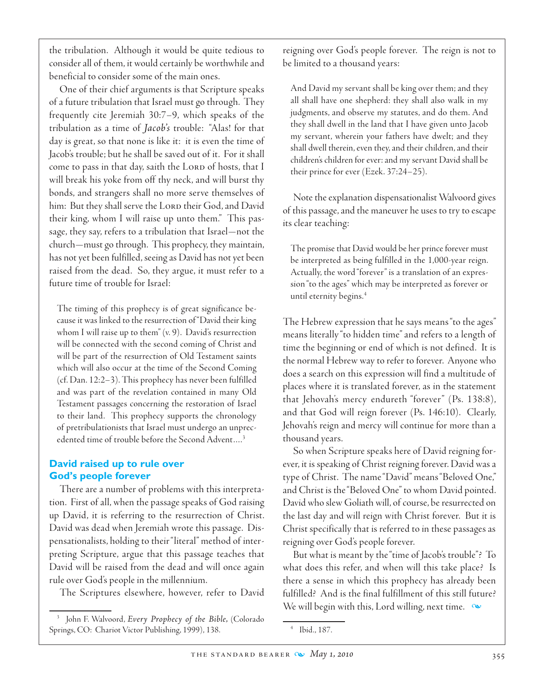the tribulation. Although it would be quite tedious to consider all of them, it would certainly be worthwhile and beneficial to consider some of the main ones.

 One of their chief arguments is that Scripture speaks of a future tribulation that Israel must go through. They frequently cite Jeremiah 30:7–9, which speaks of the tribulation as a time of *Jacob's* trouble: "Alas! for that day is great, so that none is like it: it is even the time of Jacob's trouble; but he shall be saved out of it. For it shall come to pass in that day, saith the LORD of hosts, that I will break his yoke from off thy neck, and will burst thy bonds, and strangers shall no more serve themselves of him: But they shall serve the LORD their God, and David their king, whom I will raise up unto them." This passage, they say, refers to a tribulation that Israel—not the church—must go through. This prophecy, they maintain, has not yet been fulfilled, seeing as David has not yet been raised from the dead. So, they argue, it must refer to a future time of trouble for Israel:

The timing of this prophecy is of great significance because it was linked to the resurrection of "David their king whom I will raise up to them"  $(v, 9)$ . David's resurrection will be connected with the second coming of Christ and will be part of the resurrection of Old Testament saints which will also occur at the time of the Second Coming (cf. Dan. 12:2–3). This prophecy has never been fulfilled and was part of the revelation contained in many Old Testament passages concerning the restoration of Israel to their land. This prophecy supports the chronology of pretribulationists that Israel must undergo an unprecedented time of trouble before the Second Advent….3

## **David raised up to rule over God's people forever**

There are a number of problems with this interpretation. First of all, when the passage speaks of God raising up David, it is referring to the resurrection of Christ. David was dead when Jeremiah wrote this passage. Dispensationalists, holding to their "literal" method of interpreting Scripture, argue that this passage teaches that David will be raised from the dead and will once again rule over God's people in the millennium.

The Scriptures elsewhere, however, refer to David

reigning over God's people forever. The reign is not to be limited to a thousand years:

And David my servant shall be king over them; and they all shall have one shepherd: they shall also walk in my judgments, and observe my statutes, and do them. And they shall dwell in the land that I have given unto Jacob my servant, wherein your fathers have dwelt; and they shall dwell therein, even they, and their children, and their children's children for ever: and my servant David shall be their prince for ever (Ezek. 37:24–25).

 Note the explanation dispensationalist Walvoord gives of this passage, and the maneuver he uses to try to escape its clear teaching:

The promise that David would be her prince forever must be interpreted as being fulfilled in the 1,000-year reign. Actually, the word "forever" is a translation of an expression "to the ages" which may be interpreted as forever or until eternity begins.4

The Hebrew expression that he says means "to the ages" means literally "to hidden time" and refers to a length of time the beginning or end of which is not defined. It is the normal Hebrew way to refer to forever. Anyone who does a search on this expression will find a multitude of places where it is translated forever, as in the statement that Jehovah's mercy endureth "forever" (Ps. 138:8), and that God will reign forever (Ps. 146:10). Clearly, Jehovah's reign and mercy will continue for more than a thousand years.

So when Scripture speaks here of David reigning forever, it is speaking of Christ reigning forever. David was a type of Christ. The name "David" means "Beloved One," and Christ is the "Beloved One" to whom David pointed. David who slew Goliath will, of course, be resurrected on the last day and will reign with Christ forever. But it is Christ specifically that is referred to in these passages as reigning over God's people forever.

But what is meant by the "time of Jacob's trouble"? To what does this refer, and when will this take place? Is there a sense in which this prophecy has already been fulfilled? And is the final fulfillment of this still future? We will begin with this, Lord willing, next time.  $\infty$ 

<sup>3</sup> John F. Walvoord, *Every Prophecy of the Bible,* (Colorado Springs, CO: Chariot Victor Publishing, 1999), 138.

<sup>4</sup> Ibid., 187.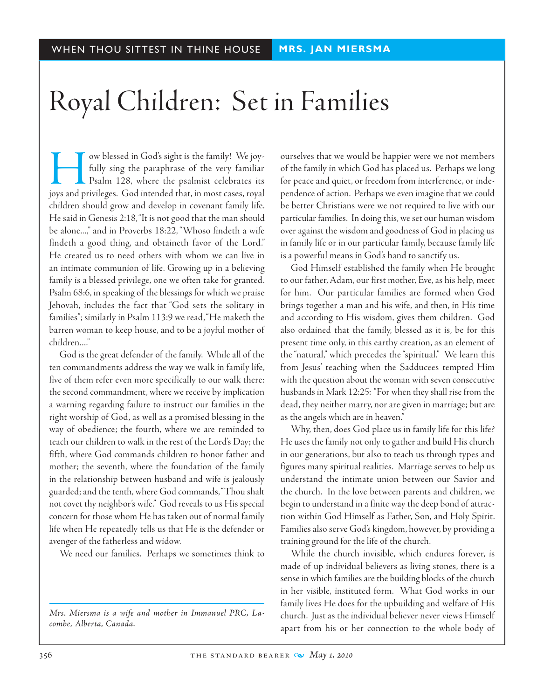# Royal Children: Set in Families

w blessed in God's sight is the family! We joy-<br>fully sing the paraphrase of the very familiar<br>Psalm 128, where the psalmist celebrates its<br>iovs and privileges. God intended that, in most cases, royal fully sing the paraphrase of the very familiar Psalm 128, where the psalmist celebrates its joys and privileges. God intended that, in most cases, royal children should grow and develop in covenant family life. He said in Genesis 2:18, "It is not good that the man should be alone...," and in Proverbs 18:22, "Whoso findeth a wife findeth a good thing, and obtaineth favor of the Lord." He created us to need others with whom we can live in an intimate communion of life. Growing up in a believing family is a blessed privilege, one we often take for granted. Psalm 68:6, in speaking of the blessings for which we praise Jehovah, includes the fact that "God sets the solitary in families"; similarly in Psalm 113:9 we read, "He maketh the barren woman to keep house, and to be a joyful mother of children...."

God is the great defender of the family. While all of the ten commandments address the way we walk in family life, five of them refer even more specifically to our walk there: the second commandment, where we receive by implication a warning regarding failure to instruct our families in the right worship of God, as well as a promised blessing in the way of obedience; the fourth, where we are reminded to teach our children to walk in the rest of the Lord's Day; the fifth, where God commands children to honor father and mother; the seventh, where the foundation of the family in the relationship between husband and wife is jealously guarded; and the tenth, where God commands, "Thou shalt not covet thy neighbor's wife." God reveals to us His special concern for those whom He has taken out of normal family life when He repeatedly tells us that He is the defender or avenger of the fatherless and widow.

We need our families. Perhaps we sometimes think to

*Mrs. Miersma is a wife and mother in Immanuel PRC, Lacombe, Alberta, Canada.*

ourselves that we would be happier were we not members of the family in which God has placed us. Perhaps we long for peace and quiet, or freedom from interference, or independence of action. Perhaps we even imagine that we could be better Christians were we not required to live with our particular families. In doing this, we set our human wisdom over against the wisdom and goodness of God in placing us in family life or in our particular family, because family life is a powerful means in God's hand to sanctify us.

God Himself established the family when He brought to our father, Adam, our first mother, Eve, as his help, meet for him. Our particular families are formed when God brings together a man and his wife, and then, in His time and according to His wisdom, gives them children. God also ordained that the family, blessed as it is, be for this present time only, in this earthy creation, as an element of the "natural," which precedes the "spiritual." We learn this from Jesus' teaching when the Sadducees tempted Him with the question about the woman with seven consecutive husbands in Mark 12:25: "For when they shall rise from the dead, they neither marry, nor are given in marriage; but are as the angels which are in heaven."

Why, then, does God place us in family life for this life? He uses the family not only to gather and build His church in our generations, but also to teach us through types and figures many spiritual realities. Marriage serves to help us understand the intimate union between our Savior and the church. In the love between parents and children, we begin to understand in a finite way the deep bond of attraction within God Himself as Father, Son, and Holy Spirit. Families also serve God's kingdom, however, by providing a training ground for the life of the church.

While the church invisible, which endures forever, is made of up individual believers as living stones, there is a sense in which families are the building blocks of the church in her visible, instituted form. What God works in our family lives He does for the upbuilding and welfare of His church. Just as the individual believer never views Himself apart from his or her connection to the whole body of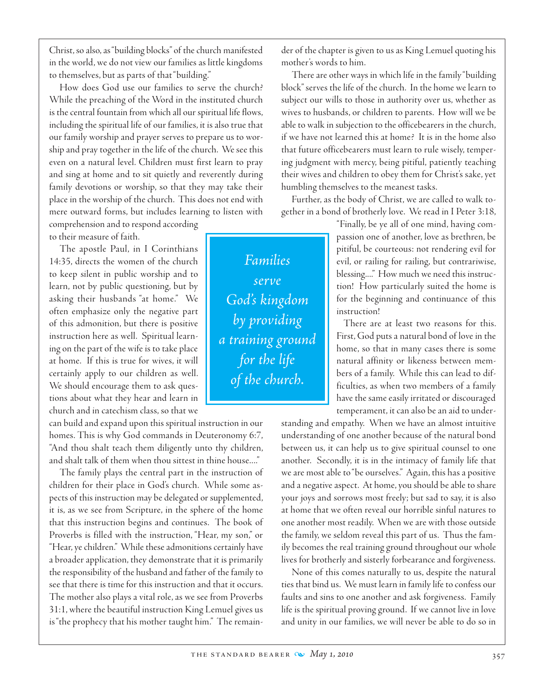Christ, so also, as "building blocks" of the church manifested in the world, we do not view our families as little kingdoms to themselves, but as parts of that "building."

How does God use our families to serve the church? While the preaching of the Word in the instituted church is the central fountain from which all our spiritual life flows, including the spiritual life of our families, it is also true that our family worship and prayer serves to prepare us to worship and pray together in the life of the church. We see this even on a natural level. Children must first learn to pray and sing at home and to sit quietly and reverently during family devotions or worship, so that they may take their place in the worship of the church. This does not end with mere outward forms, but includes learning to listen with

comprehension and to respond according to their measure of faith.

The apostle Paul, in I Corinthians 14:35, directs the women of the church to keep silent in public worship and to learn, not by public questioning, but by asking their husbands "at home." We often emphasize only the negative part of this admonition, but there is positive instruction here as well. Spiritual learning on the part of the wife is to take place at home. If this is true for wives, it will certainly apply to our children as well. We should encourage them to ask questions about what they hear and learn in church and in catechism class, so that we

can build and expand upon this spiritual instruction in our homes. This is why God commands in Deuteronomy 6:7, "And thou shalt teach them diligently unto thy children, and shalt talk of them when thou sittest in thine house...."

The family plays the central part in the instruction of children for their place in God's church. While some aspects of this instruction may be delegated or supplemented, it is, as we see from Scripture, in the sphere of the home that this instruction begins and continues. The book of Proverbs is filled with the instruction, "Hear, my son," or "Hear, ye children." While these admonitions certainly have a broader application, they demonstrate that it is primarily the responsibility of the husband and father of the family to see that there is time for this instruction and that it occurs. The mother also plays a vital role, as we see from Proverbs 31:1, where the beautiful instruction King Lemuel gives us is "the prophecy that his mother taught him." The remainder of the chapter is given to us as King Lemuel quoting his mother's words to him.

There are other ways in which life in the family "building block" serves the life of the church. In the home we learn to subject our wills to those in authority over us, whether as wives to husbands, or children to parents. How will we be able to walk in subjection to the officebearers in the church, if we have not learned this at home? It is in the home also that future officebearers must learn to rule wisely, tempering judgment with mercy, being pitiful, patiently teaching their wives and children to obey them for Christ's sake, yet humbling themselves to the meanest tasks.

Further, as the body of Christ, we are called to walk together in a bond of brotherly love. We read in I Peter 3:18,

> "Finally, be ye all of one mind, having compassion one of another, love as brethren, be pitiful, be courteous: not rendering evil for evil, or railing for railing, but contrariwise, blessing...." How much we need this instruction! How particularly suited the home is for the beginning and continuance of this instruction!

> There are at least two reasons for this. First, God puts a natural bond of love in the home, so that in many cases there is some natural affinity or likeness between members of a family. While this can lead to difficulties, as when two members of a family have the same easily irritated or discouraged temperament, it can also be an aid to under-

standing and empathy. When we have an almost intuitive understanding of one another because of the natural bond between us, it can help us to give spiritual counsel to one another. Secondly, it is in the intimacy of family life that we are most able to "be ourselves." Again, this has a positive and a negative aspect. At home, you should be able to share your joys and sorrows most freely; but sad to say, it is also at home that we often reveal our horrible sinful natures to one another most readily. When we are with those outside the family, we seldom reveal this part of us. Thus the family becomes the real training ground throughout our whole lives for brotherly and sisterly forbearance and forgiveness.

 None of this comes naturally to us, despite the natural ties that bind us. We must learn in family life to confess our faults and sins to one another and ask forgiveness. Family life is the spiritual proving ground. If we cannot live in love and unity in our families, we will never be able to do so in

*Families serve God's kingdom by providing a training ground for the life of the church.*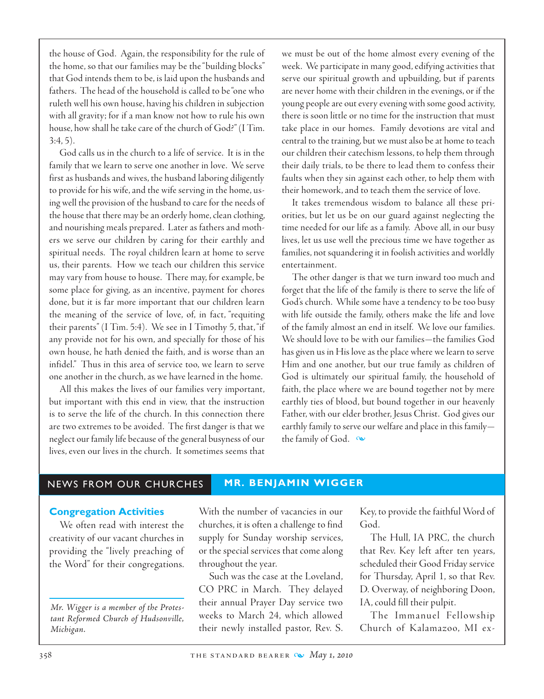the house of God. Again, the responsibility for the rule of the home, so that our families may be the "building blocks" that God intends them to be, is laid upon the husbands and fathers. The head of the household is called to be "one who ruleth well his own house, having his children in subjection with all gravity; for if a man know not how to rule his own house, how shall he take care of the church of God?" (I Tim. 3:4, 5).

God calls us in the church to a life of service. It is in the family that we learn to serve one another in love. We serve first as husbands and wives, the husband laboring diligently to provide for his wife, and the wife serving in the home, using well the provision of the husband to care for the needs of the house that there may be an orderly home, clean clothing, and nourishing meals prepared. Later as fathers and mothers we serve our children by caring for their earthly and spiritual needs. The royal children learn at home to serve us, their parents. How we teach our children this service may vary from house to house. There may, for example, be some place for giving, as an incentive, payment for chores done, but it is far more important that our children learn the meaning of the service of love, of, in fact, "requiting their parents" (I Tim. 5:4). We see in I Timothy 5, that, "if any provide not for his own, and specially for those of his own house, he hath denied the faith, and is worse than an infidel." Thus in this area of service too, we learn to serve one another in the church, as we have learned in the home.

All this makes the lives of our families very important, but important with this end in view, that the instruction is to serve the life of the church. In this connection there are two extremes to be avoided. The first danger is that we neglect our family life because of the general busyness of our lives, even our lives in the church. It sometimes seems that

we must be out of the home almost every evening of the week. We participate in many good, edifying activities that serve our spiritual growth and upbuilding, but if parents are never home with their children in the evenings, or if the young people are out every evening with some good activity, there is soon little or no time for the instruction that must take place in our homes. Family devotions are vital and central to the training, but we must also be at home to teach our children their catechism lessons, to help them through their daily trials, to be there to lead them to confess their faults when they sin against each other, to help them with their homework, and to teach them the service of love.

It takes tremendous wisdom to balance all these priorities, but let us be on our guard against neglecting the time needed for our life as a family. Above all, in our busy lives, let us use well the precious time we have together as families, not squandering it in foolish activities and worldly entertainment.

The other danger is that we turn inward too much and forget that the life of the family is there to serve the life of God's church. While some have a tendency to be too busy with life outside the family, others make the life and love of the family almost an end in itself. We love our families. We should love to be with our families—the families God has given us in His love as the place where we learn to serve Him and one another, but our true family as children of God is ultimately our spiritual family, the household of faith, the place where we are bound together not by mere earthly ties of blood, but bound together in our heavenly Father, with our elder brother, Jesus Christ. God gives our earthly family to serve our welfare and place in this family the family of God.  $\infty$ 

#### NEWS FROM OUR CHURCHES **MR. BENJAMIN WIGGER**

#### **Congregation Activities**

We often read with interest the creativity of our vacant churches in providing the "lively preaching of the Word" for their congregations.

*Mr. Wigger is a member of the Protestant Reformed Church of Hudsonville, Michigan.*

With the number of vacancies in our churches, it is often a challenge to find supply for Sunday worship services, or the special services that come along throughout the year.

Such was the case at the Loveland, CO PRC in March. They delayed their annual Prayer Day service two weeks to March 24, which allowed their newly installed pastor, Rev. S.

Key, to provide the faithful Word of God.

The Hull, IA PRC, the church that Rev. Key left after ten years, scheduled their Good Friday service for Thursday, April 1, so that Rev. D. Overway, of neighboring Doon, IA, could fill their pulpit.

The Immanuel Fellowship Church of Kalamazoo, MI ex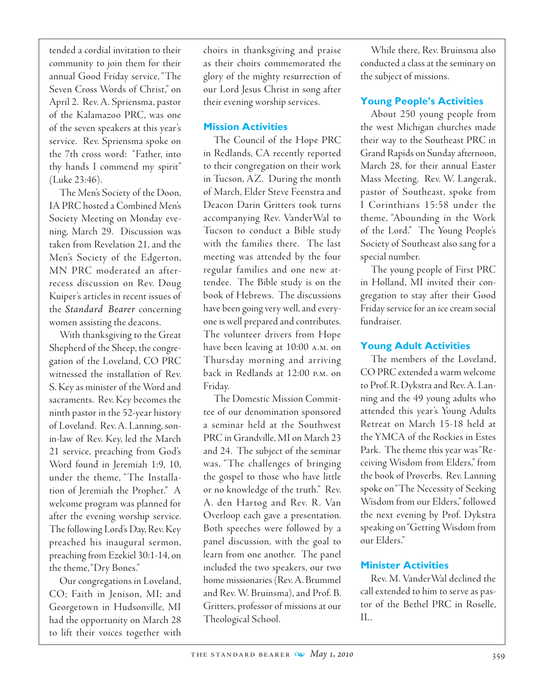tended a cordial invitation to their community to join them for their annual Good Friday service, "The Seven Cross Words of Christ," on April 2. Rev. A. Spriensma, pastor of the Kalamazoo PRC, was one of the seven speakers at this year's service. Rev. Spriensma spoke on the 7th cross word: "Father, into thy hands I commend my spirit" (Luke 23:46).

The Men's Society of the Doon, IA PRC hosted a Combined Men's Society Meeting on Monday evening, March 29. Discussion was taken from Revelation 21, and the Men's Society of the Edgerton, MN PRC moderated an afterrecess discussion on Rev. Doug Kuiper's articles in recent issues of the *Standard Bearer* concerning women assisting the deacons.

With thanksgiving to the Great Shepherd of the Sheep, the congregation of the Loveland, CO PRC witnessed the installation of Rev. S. Key as minister of the Word and sacraments. Rev. Key becomes the ninth pastor in the 52-year history of Loveland. Rev. A. Lanning, sonin-law of Rev. Key, led the March 21 service, preaching from God's Word found in Jeremiah 1:9, 10, under the theme, "The Installation of Jeremiah the Prophet." A welcome program was planned for after the evening worship service. The following Lord's Day, Rev. Key preached his inaugural sermon, preaching from Ezekiel 30:1-14, on the theme, "Dry Bones."

 Our congregations in Loveland, CO; Faith in Jenison, MI; and Georgetown in Hudsonville, MI had the opportunity on March 28 to lift their voices together with choirs in thanksgiving and praise as their choirs commemorated the glory of the mighty resurrection of our Lord Jesus Christ in song after their evening worship services.

#### **Mission Activities**

The Council of the Hope PRC in Redlands, CA recently reported to their congregation on their work in Tucson, AZ. During the month of March, Elder Steve Feenstra and Deacon Darin Gritters took turns accompanying Rev. VanderWal to Tucson to conduct a Bible study with the families there. The last meeting was attended by the four regular families and one new attendee. The Bible study is on the book of Hebrews. The discussions have been going very well, and everyone is well prepared and contributes. The volunteer drivers from Hope have been leaving at 10:00 a.m. on Thursday morning and arriving back in Redlands at 12:00 p.m. on Friday.

The Domestic Mission Committee of our denomination sponsored a seminar held at the Southwest PRC in Grandville, MI on March 23 and 24. The subject of the seminar was, "The challenges of bringing the gospel to those who have little or no knowledge of the truth." Rev. A. den Hartog and Rev. R. Van Overloop each gave a presentation. Both speeches were followed by a panel discussion, with the goal to learn from one another. The panel included the two speakers, our two home missionaries (Rev. A. Brummel and Rev. W. Bruinsma), and Prof. B. Gritters, professor of missions at our Theological School.

While there, Rev. Bruinsma also conducted a class at the seminary on the subject of missions.

## **Young People's Activities**

About 250 young people from the west Michigan churches made their way to the Southeast PRC in Grand Rapids on Sunday afternoon, March 28, for their annual Easter Mass Meeting. Rev. W. Langerak, pastor of Southeast, spoke from I Corinthians 15:58 under the theme, "Abounding in the Work of the Lord." The Young People's Society of Southeast also sang for a special number.

The young people of First PRC in Holland, MI invited their congregation to stay after their Good Friday service for an ice cream social fundraiser.

## **Young Adult Activities**

The members of the Loveland, CO PRC extended a warm welcome to Prof. R. Dykstra and Rev. A. Lanning and the 49 young adults who attended this year's Young Adults Retreat on March 15-18 held at the YMCA of the Rockies in Estes Park. The theme this year was "Receiving Wisdom from Elders," from the book of Proverbs. Rev. Lanning spoke on "The Necessity of Seeking Wisdom from our Elders," followed the next evening by Prof. Dykstra speaking on "Getting Wisdom from our Elders."

## **Minister Activities**

Rev. M. VanderWal declined the call extended to him to serve as pastor of the Bethel PRC in Roselle, IL.